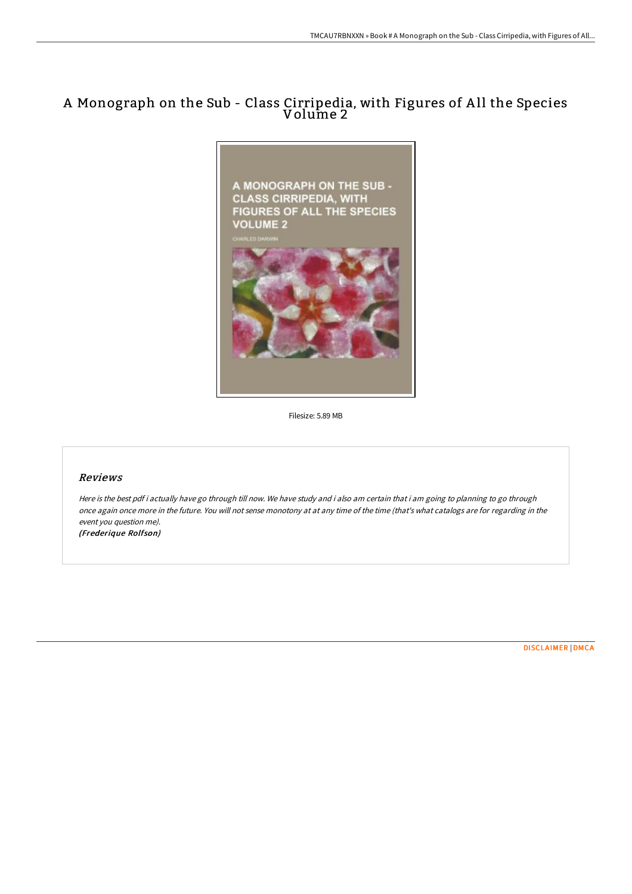## A Monograph on the Sub - Class Cirripedia, with Figures of A ll the Species Volume 2



Filesize: 5.89 MB

## Reviews

Here is the best pdf i actually have go through till now. We have study and i also am certain that i am going to planning to go through once again once more in the future. You will not sense monotony at at any time of the time (that's what catalogs are for regarding in the event you question me). (Frederique Rolfson)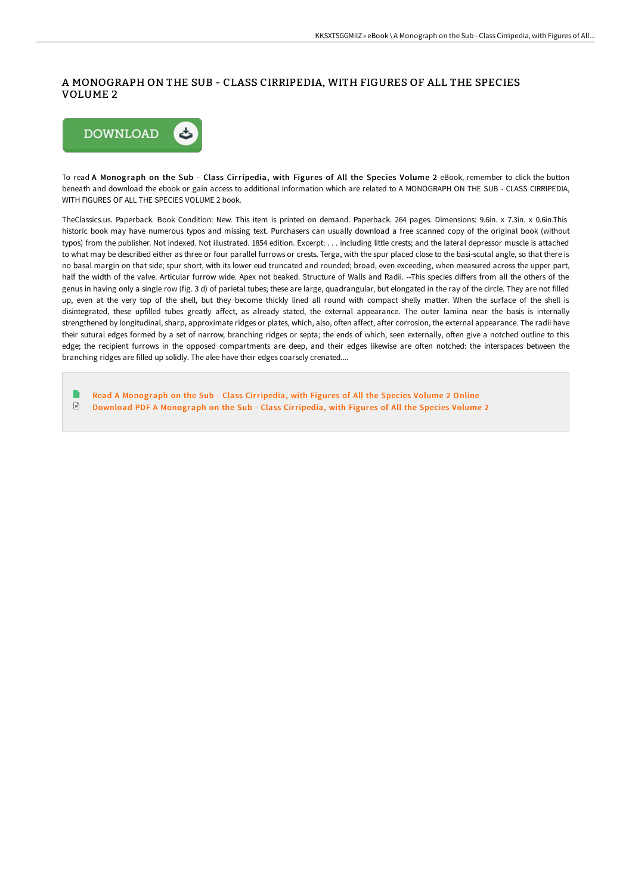## A MONOGRAPH ON THE SUB - CLASS CIRRIPEDIA, WITH FIGURES OF ALL THE SPECIES VOLUME 2



To read A Monograph on the Sub - Class Cirripedia, with Figures of All the Species Volume 2 eBook, remember to click the button beneath and download the ebook or gain access to additional information which are related to A MONOGRAPH ON THE SUB - CLASS CIRRIPEDIA, WITH FIGURES OF ALL THE SPECIES VOLUME 2 book.

TheClassics.us. Paperback. Book Condition: New. This item is printed on demand. Paperback. 264 pages. Dimensions: 9.6in. x 7.3in. x 0.6in.This historic book may have numerous typos and missing text. Purchasers can usually download a free scanned copy of the original book (without typos) from the publisher. Not indexed. Not illustrated. 1854 edition. Excerpt: . . . including little crests; and the lateral depressor muscle is attached to what may be described either as three or four parallel furrows or crests. Terga, with the spur placed close to the basi-scutal angle, so that there is no basal margin on that side; spur short, with its lower eud truncated and rounded; broad, even exceeding, when measured across the upper part, half the width of the valve. Articular furrow wide. Apex not beaked. Structure of Walls and Radii. --This species differs from all the others of the genus in having only a single row (fig. 3 d) of parietal tubes; these are large, quadrangular, but elongated in the ray of the circle. They are not filled up, even at the very top of the shell, but they become thickly lined all round with compact shelly matter. When the surface of the shell is disintegrated, these upfilled tubes greatly affect, as already stated, the external appearance. The outer lamina near the basis is internally strengthened by longitudinal, sharp, approximate ridges or plates, which, also, often affect, after corrosion, the external appearance. The radii have their sutural edges formed by a set of narrow, branching ridges or septa; the ends of which, seen externally, often give a notched outline to this edge; the recipient furrows in the opposed compartments are deep, and their edges likewise are often notched: the interspaces between the branching ridges are filled up solidly. The alee have their edges coarsely crenated....

Read A [Monograph](http://albedo.media/a-monograph-on-the-sub-class-cirripedia-with-fig.html) on the Sub - Class Cirripedia, with Figures of All the Species Volume 2 Online  $\ensuremath{\mathop\square}\xspace$ Download PDF A [Monograph](http://albedo.media/a-monograph-on-the-sub-class-cirripedia-with-fig.html) on the Sub - Class Cirripedia, with Figures of All the Species Volume 2